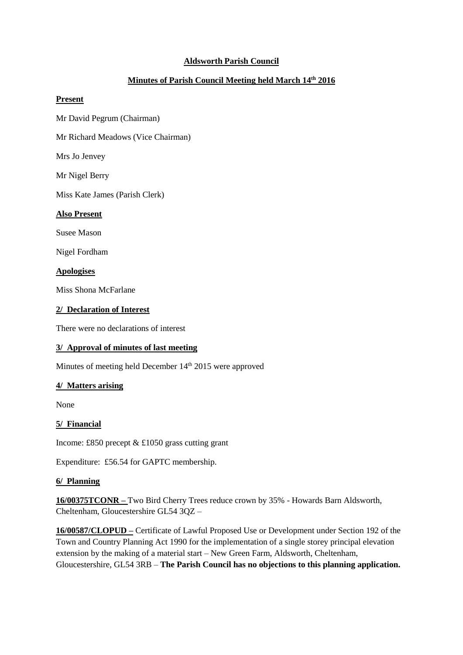# **Aldsworth Parish Council**

# **Minutes of Parish Council Meeting held March 14 th 2016**

### **Present**

Mr David Pegrum (Chairman)

Mr Richard Meadows (Vice Chairman)

Mrs Jo Jenvey

Mr Nigel Berry

Miss Kate James (Parish Clerk)

### **Also Present**

Susee Mason

Nigel Fordham

**Apologises**

Miss Shona McFarlane

### **2/ Declaration of Interest**

There were no declarations of interest

## **3/ Approval of minutes of last meeting**

Minutes of meeting held December 14<sup>th</sup> 2015 were approved

## **4/ Matters arising**

None

## **5/ Financial**

Income: £850 precept & £1050 grass cutting grant

Expenditure: £56.54 for GAPTC membership.

## **6/ Planning**

**16/00375TCONR –** Two Bird Cherry Trees reduce crown by 35% - Howards Barn Aldsworth, Cheltenham, Gloucestershire GL54 3QZ –

**16/00587/CLOPUD –** Certificate of Lawful Proposed Use or Development under Section 192 of the Town and Country Planning Act 1990 for the implementation of a single storey principal elevation extension by the making of a material start – New Green Farm, Aldsworth, Cheltenham, Gloucestershire, GL54 3RB – **The Parish Council has no objections to this planning application.**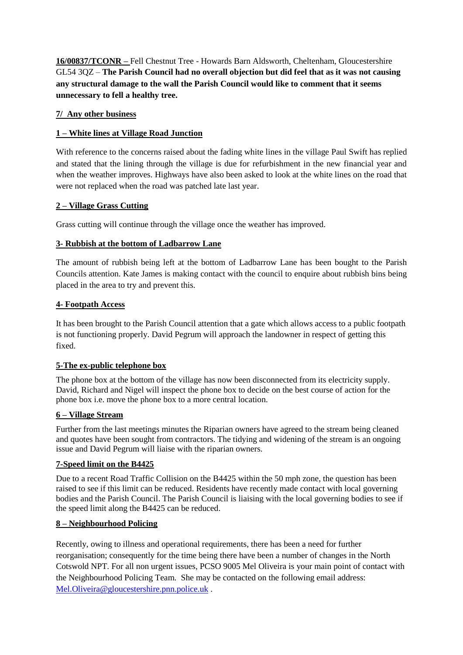**16/00837/TCONR –** Fell Chestnut Tree - Howards Barn Aldsworth, Cheltenham, Gloucestershire GL54 3QZ – **The Parish Council had no overall objection but did feel that as it was not causing any structural damage to the wall the Parish Council would like to comment that it seems unnecessary to fell a healthy tree.**

## **7/ Any other business**

# **1 – White lines at Village Road Junction**

With reference to the concerns raised about the fading white lines in the village Paul Swift has replied and stated that the lining through the village is due for refurbishment in the new financial year and when the weather improves. Highways have also been asked to look at the white lines on the road that were not replaced when the road was patched late last year.

# **2 – Village Grass Cutting**

Grass cutting will continue through the village once the weather has improved.

# **3- Rubbish at the bottom of Ladbarrow Lane**

The amount of rubbish being left at the bottom of Ladbarrow Lane has been bought to the Parish Councils attention. Kate James is making contact with the council to enquire about rubbish bins being placed in the area to try and prevent this.

## **4- Footpath Access**

It has been brought to the Parish Council attention that a gate which allows access to a public footpath is not functioning properly. David Pegrum will approach the landowner in respect of getting this fixed.

## **5-The ex-public telephone box**

The phone box at the bottom of the village has now been disconnected from its electricity supply. David, Richard and Nigel will inspect the phone box to decide on the best course of action for the phone box i.e. move the phone box to a more central location.

## **6 – Village Stream**

Further from the last meetings minutes the Riparian owners have agreed to the stream being cleaned and quotes have been sought from contractors. The tidying and widening of the stream is an ongoing issue and David Pegrum will liaise with the riparian owners.

## **7-Speed limit on the B4425**

Due to a recent Road Traffic Collision on the B4425 within the 50 mph zone, the question has been raised to see if this limit can be reduced. Residents have recently made contact with local governing bodies and the Parish Council. The Parish Council is liaising with the local governing bodies to see if the speed limit along the B4425 can be reduced.

## **8 – Neighbourhood Policing**

Recently, owing to illness and operational requirements, there has been a need for further reorganisation; consequently for the time being there have been a number of changes in the North Cotswold NPT. For all non urgent issues, PCSO 9005 Mel Oliveira is your main point of contact with the Neighbourhood Policing Team. She may be contacted on the following email address: [Mel.Oliveira@gloucestershire.pnn.police.uk](mailto:Mel.Oliveira@gloucestershire.pnn.police.uk) .